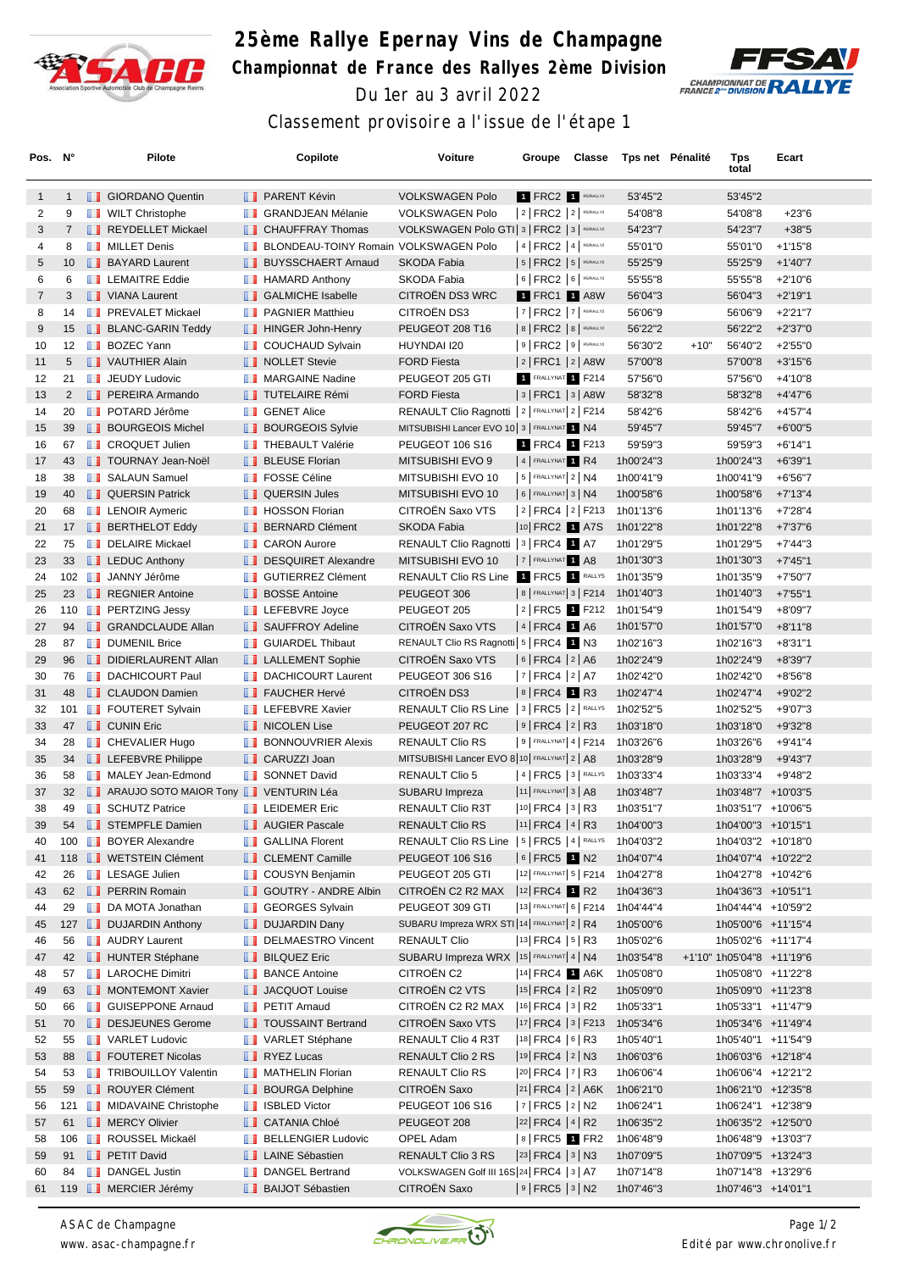

## **25ème Rallye Epernay Vins de Champagne Championnat de France des Rallyes 2ème Division** Du 1er au 3 avril 2022



## Classement provisoire a l'issue de l'étape 1

| Pos. N°        |                | Pilote                                                   |     | Copilote                                       | Voiture                                                | Groupe                                                                                                                               | Classe | Tps net Pénalité                 |        | Tps<br>total              | Ecart                  |  |
|----------------|----------------|----------------------------------------------------------|-----|------------------------------------------------|--------------------------------------------------------|--------------------------------------------------------------------------------------------------------------------------------------|--------|----------------------------------|--------|---------------------------|------------------------|--|
| $\mathbf{1}$   | $\mathbf{1}$   | <b>SIORDANO Quentin</b>                                  |     | <b>PARENT Kévin</b>                            | <b>VOLKSWAGEN Polo</b>                                 | 1 FRC2 1 RS/RALLY2                                                                                                                   |        | 53'45"2                          |        | 53'45"2                   |                        |  |
| 2              | 9              | <b>WILT Christophe</b>                                   | ш   | <b>GRANDJEAN Mélanie</b>                       | <b>VOLKSWAGEN Polo</b>                                 | $ 2 $ FRC2 $ 2 $ RS/RALLY2                                                                                                           |        | 54'08"8                          |        | 54'08"8                   | $+23"6$                |  |
| 3              | $7^{\circ}$    | REYDELLET Mickael                                        |     | <b>CHAUFFRAY Thomas</b>                        | VOLKSWAGEN Polo GTI 3   FRC2   3   RS/RALLY2           |                                                                                                                                      |        | 54'23"7                          |        | 54'23"7                   | $+38"5$                |  |
| 4              | 8              | <b>NILLET</b> Denis                                      |     | BLONDEAU-TOINY Romain VOLKSWAGEN Polo          |                                                        | $ 4 $ FRC2 $ 4 $ RS/RALLY2                                                                                                           |        | 55'01"0                          |        | 55'01"0                   | $+1'15"8$              |  |
| 5              |                | 10 <b>BAYARD Laurent</b>                                 |     | <b>BUYSSCHAERT Arnaud</b>                      | SKODA Fabia                                            | $ 5 $ FRC2 $ 5 $ RS/RALLY2                                                                                                           |        | 55'25"9                          |        | 55'25"9                   | $+1'40''7$             |  |
| 6              | 6              | <b>EXEMPLEMAITRE Eddie</b>                               |     | <b>HAMARD Anthony</b>                          | SKODA Fabia                                            | 6   FRC2   6   RS/RALLY2                                                                                                             |        | 55'55"8                          |        | 55'55"8                   | $+2'10''6$             |  |
| $\overline{7}$ | 3              | VIANA Laurent                                            |     | <b>B</b> GALMICHE Isabelle                     | CITROËN DS3 WRC                                        | 1 FRC1 1 A8W                                                                                                                         |        | 56'04"3                          |        | 56'04"3                   | $+2'19''1$             |  |
| 8              | 14             | <b>THE PREVALET Mickael</b>                              | ш   | <b>PAGNIER Matthieu</b>                        | CITROËN DS3                                            | 7   FRC2   7   RS/RALLY2                                                                                                             |        | 56'06"9                          |        | 56'06"9                   | +2'21"7                |  |
| 9              | 15             | <b>BLANC-GARIN Teddy</b>                                 |     | <b>HINGER John-Henry</b>                       | PEUGEOT 208 T16                                        | 8   FRC2   8   RS/RALLY2                                                                                                             |        | 56'22"2                          |        | 56'22"2                   | $+2'37"0$              |  |
| 10             | 12             | <b>BOZEC Yann</b>                                        | ш   | <b>COUCHAUD Sylvain</b>                        | HUYNDAI I20                                            | $ 9 $ FRC2 $ 9 $ RS/RALLY2                                                                                                           |        | 56'30"2                          | $+10"$ | 56'40"2                   | $+2'55"0$              |  |
| 11             | 5              | VAUTHIER Alain                                           |     | <b>NOLLET</b> Stevie                           | <b>FORD Fiesta</b>                                     | $ 2 $ FRC1 $ 2 $ A8W                                                                                                                 |        | 57'00"8                          |        | 57'00"8                   | $+3'15''6$             |  |
| 12             | 21             | <b>JEUDY Ludovic</b>                                     | . . | <b>MARGAINE Nadine</b>                         | PEUGEOT 205 GTI                                        | 1 FRALLYNAT 1 F214                                                                                                                   |        | 57'56"0                          |        | 57'56"0                   | +4'10"8                |  |
| 13             | $\overline{2}$ | <b>PEREIRA Armando</b>                                   |     | <b>TUTELAIRE Rémi</b>                          | <b>FORD Fiesta</b>                                     | $ 3 $ FRC1 $ 3 $ A8W                                                                                                                 |        | 58'32"8                          |        | 58'32"8                   | $+4'47''6$             |  |
| 14             | 20             | <b>DE POTARD Jérôme</b>                                  | w   | <b>GENET Alice</b>                             | RENAULT Clio Ragnotti   2   FRALLYNAT 2   F214         |                                                                                                                                      |        | 58'42"6                          |        | 58'42"6                   | +4'57"4                |  |
| 15             | 39             | <b>BOURGEOIS Michel</b>                                  |     | <b>BOURGEOIS Sylvie</b>                        | MITSUBISHI Lancer EVO 10 3   FRALLYNAT 1 N4            |                                                                                                                                      |        | 59'45"7                          |        | 59'45"7                   | $+6'00"5$              |  |
| 16             | 67             | <b>T</b> CROQUET Julien                                  |     | <b>THEBAULT Valérie</b>                        | <b>PEUGEOT 106 S16</b>                                 | 1 FRC4 1 F213                                                                                                                        |        | 59'59"3                          |        | 59'59"3                   | $+6'14"1$              |  |
| 17             | 43             | <b>TOURNAY Jean-Noël</b>                                 |     | <b>BLEUSE Florian</b>                          | MITSUBISHI EVO 9                                       | 4 FRALLYNAT 1 R4                                                                                                                     |        | 1h00'24"3                        |        | 1h00'24"3                 | $+6'39"1$              |  |
| 18             | 38             | <b>B</b> SALAUN Samuel                                   |     | <b>FOSSE Céline</b>                            | MITSUBISHI EVO 10                                      | $5$ FRALLYNAT $2$ N4                                                                                                                 |        | 1h00'41"9                        |        | 1h00'41"9                 | $+6'56''7$             |  |
| 19             | 40             | <b>QUERSIN Patrick</b>                                   |     | <b>QUERSIN Jules</b>                           | MITSUBISHI EVO 10                                      | $6$ FRALLYNAT 3   N4                                                                                                                 |        | 1h00'58"6                        |        | 1h00'58"6                 | +7'13"4                |  |
| 20             | 68             | <b>EXAMPLE LENOIR Aymeric</b>                            |     | <b>HOSSON Florian</b>                          | CITROËN Saxo VTS                                       | $ 2 $ FRC4 $ 2 $ F213                                                                                                                |        | 1h01'13"6                        |        | 1h01'13"6                 | +7'28"4                |  |
| 21             |                | 17 <b>BERTHELOT Eddy</b>                                 |     | <b>BERNARD Clément</b>                         | SKODA Fabia                                            | 10 FRC2 1 A7S                                                                                                                        |        | 1h01'22"8                        |        | 1h01'22"8                 | +7'37"6                |  |
| 22             | 75             | <b>DELAIRE Mickael</b>                                   |     | <b>CARON Aurore</b>                            | RENAULT Clio Ragnotti   3   FRC4   1   A7              |                                                                                                                                      |        | 1h01'29"5                        |        | 1h01'29"5                 | +7'44"3                |  |
| 23             | 33             | <b>EDUC Anthony</b>                                      |     | <b>DESQUIRET Alexandre</b>                     | MITSUBISHI EVO 10                                      | 7 FRALLYNAT 1 A8                                                                                                                     |        | 1h01'30"3                        |        | 1h01'30"3                 | +7'45"1                |  |
| 24             |                | 102 JANNY Jérôme                                         | ш   | <b>GUTIERREZ Clément</b>                       | RENAULT Clio RS Line 1 FRC5 1 RALLYS                   |                                                                                                                                      |        | 1h01'35"9                        |        | 1h01'35"9                 | +7'50"7                |  |
| 25             |                | 23 <b>REGNIER Antoine</b>                                |     | <b>BOSSE Antoine</b>                           | PEUGEOT 306                                            |                                                                                                                                      |        | 8   FRALLYNAT 3   F214 1h01'40"3 |        | 1h01'40"3                 | $+7'55"1$              |  |
| 26             |                | 110 <b>PERTZING Jessy</b>                                |     | LEFEBVRE Joyce                                 | PEUGEOT 205                                            | 2 FRC5 1 F212                                                                                                                        |        | 1h01'54"9                        |        | 1h01'54"9                 | +8'09"7                |  |
| 27             | 94             | GRANDCLAUDE Allan                                        |     | <b>B</b> SAUFFROY Adeline                      | CITROËN Saxo VTS                                       | $ 4 $ FRC4 1 A6                                                                                                                      |        | 1h01'57"0                        |        | 1h01'57"0                 | $+8'11''8$             |  |
| 28             | 87             | <b>DUMENIL Brice</b>                                     |     | <b>B</b> GUIARDEL Thibaut                      | RENAULT Clio RS Ragnotti   5   FRC4 1 N3               |                                                                                                                                      |        | 1h02'16"3                        |        | 1h02'16"3                 | $+8'31"1$              |  |
| 29             | 96             | DIDIERLAURENT Allan                                      |     | <b>LE</b> LALLEMENT Sophie                     | CITROEN Saxo VTS                                       | $ 6 $ FRC4 $ 2 $ A6                                                                                                                  |        | 1h02'24"9                        |        | 1h02'24"9                 | $+8'39"7$              |  |
| 30             | 76<br>48       | <b>DACHICOURT Paul</b>                                   |     | DACHICOURT Laurent                             | PEUGEOT 306 S16<br>CITROËN DS3                         | $ 7 $ FRC4 $ 2 $ A7                                                                                                                  |        | 1h02'42"0                        |        | 1h02'42"0                 | $+8'56''8$             |  |
| 31             |                | <b>CLAUDON Damien</b>                                    |     | <b>FAUCHER Hervé</b><br><b>LEFEBVRE Xavier</b> | RENAULT Clio RS Line   3   FRC5   2   RALLYS           | $8$ FRC4 1 R3                                                                                                                        |        | 1h02'47"4                        |        | 1h02'47"4                 | $+9'02"2$              |  |
| 32<br>33       | 101<br>47      | <b>FOUTERET Sylvain</b><br><b>T</b> CUNIN Eric           | w   | NICOLEN Lise                                   | PEUGEOT 207 RC                                         | $ 9 $ FRC4 $ 2 $ R3                                                                                                                  |        | 1h02'52"5<br>1h03'18"0           |        | 1h02'52"5<br>1h03'18"0    | $+9'07"3$<br>$+9'32"8$ |  |
| 34             | 28             | <b>CHEVALIER Hugo</b>                                    |     | <b>BONNOUVRIER Alexis</b>                      | <b>RENAULT Clio RS</b>                                 | 9   FRALLYNAT 4   F214                                                                                                               |        | 1h03'26"6                        |        | 1h03'26"6                 | +9'41"4                |  |
| 35             |                | 34 <b>LEFEBVRE Philippe</b>                              |     | CARUZZI Joan                                   | MITSUBISHI Lancer EVO 8 10 FRALLYNAT 2   A8            |                                                                                                                                      |        | 1h03'28"9                        |        | 1h03'28"9                 | $+9'43''7$             |  |
| 36             | 58             | MALEY Jean-Edmond                                        |     | SONNET David                                   | <b>RENAULT Clio 5</b>                                  | $ 4 $ FRC5 $ 3 $ RALLYS                                                                                                              |        | 1h03'33"4                        |        | 1h03'33"4                 | +9'48"2                |  |
| 37             |                | 32 <b>I</b> ARAUJO SOTO MAIOR Tony <b>I</b> VENTURIN Léa |     |                                                | SUBARU Impreza                                         | 11 FRALLYNAT 3   A8                                                                                                                  |        | 1h03'48"7                        |        | 1h03'48"7 +10'03"5        |                        |  |
| 38             | 49             | SCHUTZ Patrice                                           |     | <b>THEIDEMER Eric</b>                          | RENAULT Clio R3T                                       | 10 FRC4 3 R3                                                                                                                         |        | 1h03'51"7                        |        | 1h03'51"7 +10'06"5        |                        |  |
| 39             |                | 54 <b>B</b> STEMPFLE Damien                              |     | <b>NET AUGIER Pascale</b>                      | RENAULT Clio RS                                        | $ 11 $ FRC4 $ 4 $ R3                                                                                                                 |        | 1h04'00"3                        |        | 1h04'00"3 +10'15"1        |                        |  |
| 40             |                | 100 <b>BOYER Alexandre</b>                               |     | <b>B</b> GALLINA Florent                       | RENAULT Clio RS Line   5   FRC5   4   RALLYS 1h04'03"2 |                                                                                                                                      |        |                                  |        | 1h04'03"2 +10'18"0        |                        |  |
| 41             |                | 118 <b>WETSTEIN Clément</b>                              |     | <b>CLEMENT Camille</b>                         | PEUGEOT 106 S16                                        | $ 6 $ FRC5 1 N2                                                                                                                      |        | 1h04'07"4                        |        | 1h04'07"4 +10'22"2        |                        |  |
| 42             | 26             | <b>LESAGE Julien</b>                                     |     | <b>COUSYN Benjamin</b>                         | PEUGEOT 205 GTI                                        | 12 FRALLYNAT 5   F214                                                                                                                |        | 1h04'27"8                        |        | 1h04'27"8 +10'42"6        |                        |  |
| 43             |                | 62 <b>B</b> PERRIN Romain                                |     | GOUTRY - ANDRE Albin                           | CITROËN C2 R2 MAX  12 FRC4 1 R2                        |                                                                                                                                      |        | 1h04'36"3                        |        | 1h04'36"3 +10'51"1        |                        |  |
| 44             | 29             | DA MOTA Jonathan                                         | ш   | <b>GEORGES Sylvain</b>                         | PEUGEOT 309 GTI                                        | 13 FRALLYNAT 6   F214                                                                                                                |        | 1h04'44"4                        |        | 1h04'44"4 +10'59"2        |                        |  |
| 45             |                | 127 <b>DUJARDIN Anthony</b>                              |     | <b>DUJARDIN Dany</b>                           | SUBARU Impreza WRX STI 14 FRALLYNAT 2   R4             |                                                                                                                                      |        | 1h05'00"6                        |        | 1h05'00"6 +11'15"4        |                        |  |
| 46             | 56             | <b>B</b> AUDRY Laurent                                   |     | DELMAESTRO Vincent                             | <b>RENAULT Clio</b>                                    | $ 13 $ FRC4 $ 5 $ R3                                                                                                                 |        | 1h05'02"6                        |        | 1h05'02"6 +11'17"4        |                        |  |
| 47             |                | 42 <b>I HUNTER Stéphane</b>                              |     | <b>BILQUEZ Eric</b>                            | SUBARU Impreza WRX  15   FRALLYNAT 4   N4              |                                                                                                                                      |        | 1h03'54"8                        |        | +1'10" 1h05'04"8 +11'19"6 |                        |  |
| 48             | 57             | <b>T</b> LAROCHE Dimitri                                 |     | <b>BANCE Antoine</b>                           | CITROËN C2                                             | $ 14 $ FRC4 1 A6K                                                                                                                    |        | 1h05'08"0                        |        | 1h05'08"0 +11'22"8        |                        |  |
| 49             | 63             | MONTEMONT Xavier                                         |     | <b>JACQUOT Louise</b>                          | CITROËN C2 VTS                                         | $ 15 $ FRC4 $ 2 $ R2                                                                                                                 |        | 1h05'09"0                        |        | 1h05'09"0 +11'23"8        |                        |  |
| 50             | 66             | <b>GUISEPPONE Arnaud</b>                                 |     | <b>F</b> PETIT Arnaud                          | CITROËN C2 R2 MAX                                      | $ 16 $ FRC4 $ 3 $ R2                                                                                                                 |        | 1h05'33"1                        |        | 1h05'33"1 +11'47"9        |                        |  |
| 51             |                | 70 <b>DESJEUNES</b> Gerome                               |     | <b>TOUSSAINT Bertrand</b>                      | CITROEN Saxo VTS                                       | $ 17 $ FRC4 $ 3 $ F213                                                                                                               |        | 1h05'34"6                        |        | 1h05'34"6 +11'49"4        |                        |  |
| 52             | 55             | VARLET Ludovic                                           |     | VARLET Stéphane                                | RENAULT Clio 4 R3T                                     | $ 18 $ FRC4 $ 6 $ R3                                                                                                                 |        | 1h05'40"1                        |        | 1h05'40"1 +11'54"9        |                        |  |
| 53             | 88             | FOUTERET Nicolas                                         |     | $\blacksquare$ RYEZ Lucas                      | RENAULT Clio 2 RS                                      | $ 19 $ FRC4 $ 2 $ N3                                                                                                                 |        | 1h06'03"6                        |        | 1h06'03"6 +12'18"4        |                        |  |
| 54             | 53             | <b>TRIBOUILLOY Valentin</b>                              |     | MATHELIN Florian                               | RENAULT Clio RS                                        | $ 20 $ FRC4 $ 7 $ R3                                                                                                                 |        | 1h06'06"4                        |        | 1h06'06"4 +12'21"2        |                        |  |
| 55             | 59             | ROUYER Clément                                           |     | <b>BOURGA Delphine</b>                         | CITROEN Saxo                                           | $ 21 $ FRC4 $ 2 $ A6K                                                                                                                |        | 1h06'21"0                        |        | 1h06'21"0 +12'35"8        |                        |  |
| 56             | 121            | <b>NIDAVAINE Christophe</b>                              |     | <b>B</b> ISBLED Victor                         | PEUGEOT 106 S16                                        | 7   FRC5   2   N2                                                                                                                    |        | 1h06'24"1                        |        | 1h06'24"1 +12'38"9        |                        |  |
| 57             |                | 61 <b>B</b> MERCY Olivier                                |     | <b>CATANIA Chloé</b>                           | PEUGEOT 208                                            | $ 22 $ FRC4 $ 4 $ R2                                                                                                                 |        | 1h06'35"2                        |        | 1h06'35"2 +12'50"0        |                        |  |
| 58             |                | 106 <b>B</b> ROUSSEL Mickaël                             |     | <b>BELLENGIER Ludovic</b>                      | OPEL Adam                                              | 8 FRC5 1 FR2                                                                                                                         |        | 1h06'48"9                        |        | 1h06'48"9 +13'03"7        |                        |  |
| 59             | 91             | <b>PETIT David</b>                                       |     | <b>LAINE Sébastien</b>                         | RENAULT Clio 3 RS                                      | $\left  \begin{smallmatrix} 23 \\ 5 \end{smallmatrix} \right $ FRC4 $\left  \begin{smallmatrix} 3 \\ 3 \end{smallmatrix} \right $ N3 |        | 1h07'09"5                        |        | 1h07'09"5 +13'24"3        |                        |  |
| 60             | 84             | DANGEL Justin                                            | ш   | <b>DANGEL Bertrand</b>                         | VOLKSWAGEN Golf III 16S 24 FRC4 3 A7                   |                                                                                                                                      |        | 1h07'14"8                        |        | 1h07'14"8 +13'29"6        |                        |  |
| 61             |                | 119 <b>B</b> MERCIER Jérémy                              |     | <b>BAIJOT Sébastien</b>                        | CITROËN Saxo                                           | $ 9 $ FRC5 $ 3 $ N2                                                                                                                  |        | 1h07'46"3                        |        | 1h07'46"3 +14'01"1        |                        |  |